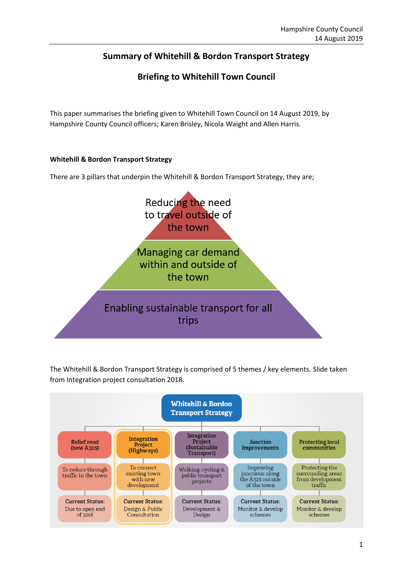## **Summary of Whitehill & Bordon Transport Strategy**

### **Briefing to Whitehill Town Council**

This paper summarises the briefing given to Whitehill Town Council on 14 August 2019, by Hampshire County Council officers; Karen Brisley, Nicola Waight and Allen Harris.

#### **Whitehill & Bordon Transport Strategy**

There are 3 pillars that underpin the Whitehill & Bordon Transport Strategy, they are;



The Whitehill & Bordon Transport Strategy is comprised of 5 themes / key elements. Slide taken from Integration project consultation 2018.

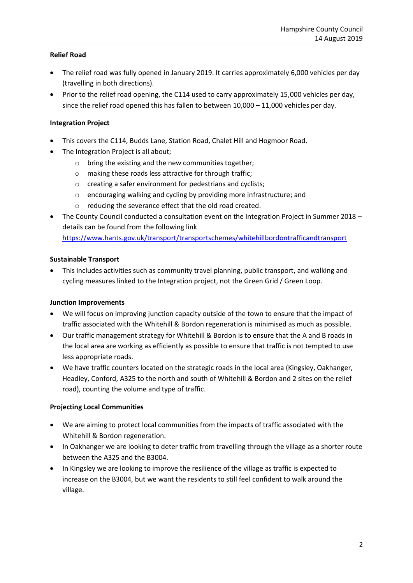#### **Relief Road**

- The relief road was fully opened in January 2019. It carries approximately 6,000 vehicles per day (travelling in both directions).
- Prior to the relief road opening, the C114 used to carry approximately 15,000 vehicles per day, since the relief road opened this has fallen to between  $10,000 - 11,000$  vehicles per day.

#### **Integration Project**

- This covers the C114, Budds Lane, Station Road, Chalet Hill and Hogmoor Road.
- The Integration Project is all about;
	- o bring the existing and the new communities together;
	- o making these roads less attractive for through traffic;
	- o creating a safer environment for pedestrians and cyclists;
	- o encouraging walking and cycling by providing more infrastructure; and
	- o reducing the severance effect that the old road created.
- The County Council conducted a consultation event on the Integration Project in Summer 2018 details can be found from the following link

<https://www.hants.gov.uk/transport/transportschemes/whitehillbordontrafficandtransport>

#### **Sustainable Transport**

• This includes activities such as community travel planning, public transport, and walking and cycling measures linked to the Integration project, not the Green Grid / Green Loop.

#### **Junction Improvements**

- We will focus on improving junction capacity outside of the town to ensure that the impact of traffic associated with the Whitehill & Bordon regeneration is minimised as much as possible.
- Our traffic management strategy for Whitehill & Bordon is to ensure that the A and B roads in the local area are working as efficiently as possible to ensure that traffic is not tempted to use less appropriate roads.
- We have traffic counters located on the strategic roads in the local area (Kingsley, Oakhanger, Headley, Conford, A325 to the north and south of Whitehill & Bordon and 2 sites on the relief road), counting the volume and type of traffic.

#### **Projecting Local Communities**

- We are aiming to protect local communities from the impacts of traffic associated with the Whitehill & Bordon regeneration.
- In Oakhanger we are looking to deter traffic from travelling through the village as a shorter route between the A325 and the B3004.
- In Kingsley we are looking to improve the resilience of the village as traffic is expected to increase on the B3004, but we want the residents to still feel confident to walk around the village.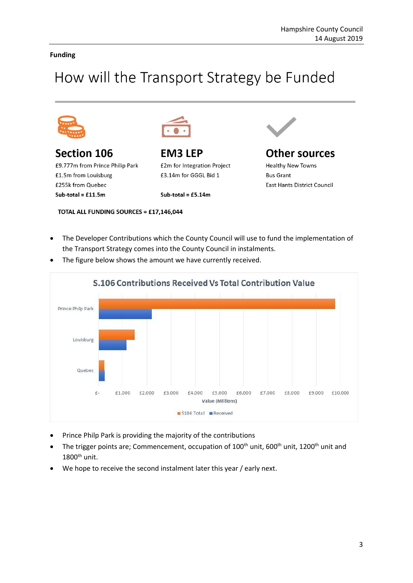#### **Funding**

# How will the Transport Strategy be Funded



Section 106 £9.777m from Prince Philip Park £1.5m from Louisburg £255k from Quebec Sub-total =  $£11.5m$ 



**EM3 LEP** £2m for Integration Project £3.14m for GGGL Bid 1

Sub-total =  $£5.14m$ 

TOTAL ALL FUNDING SOURCES = £17,146,044



## **Other sources**

**Healthy New Towns Bus Grant East Hants District Council** 

• The Developer Contributions which the County Council will use to fund the implementation of the Transport Strategy comes into the County Council in instalments.



The figure below shows the amount we have currently received.

- Prince Philp Park is providing the majority of the contributions
- The trigger points are; Commencement, occupation of 100<sup>th</sup> unit, 600<sup>th</sup> unit, 1200<sup>th</sup> unit and  $1800<sup>th</sup>$  unit.
- We hope to receive the second instalment later this year / early next.